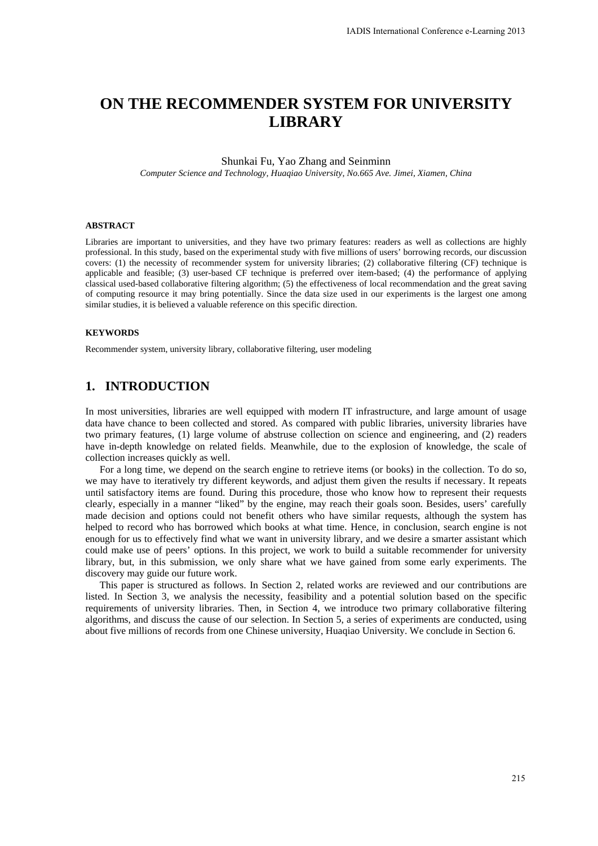# **ON THE RECOMMENDER SYSTEM FOR UNIVERSITY LIBRARY**

#### Shunkai Fu, Yao Zhang and Seinminn

*Computer Science and Technology, Huaqiao University, No.665 Ave. Jimei, Xiamen, China* 

#### **ABSTRACT**

Libraries are important to universities, and they have two primary features: readers as well as collections are highly professional. In this study, based on the experimental study with five millions of users' borrowing records, our discussion covers: (1) the necessity of recommender system for university libraries; (2) collaborative filtering (CF) technique is applicable and feasible; (3) user-based CF technique is preferred over item-based; (4) the performance of applying classical used-based collaborative filtering algorithm; (5) the effectiveness of local recommendation and the great saving of computing resource it may bring potentially. Since the data size used in our experiments is the largest one among similar studies, it is believed a valuable reference on this specific direction.

#### **KEYWORDS**

Recommender system, university library, collaborative filtering, user modeling

### **1. INTRODUCTION**

In most universities, libraries are well equipped with modern IT infrastructure, and large amount of usage data have chance to been collected and stored. As compared with public libraries, university libraries have two primary features, (1) large volume of abstruse collection on science and engineering, and (2) readers have in-depth knowledge on related fields. Meanwhile, due to the explosion of knowledge, the scale of collection increases quickly as well.

For a long time, we depend on the search engine to retrieve items (or books) in the collection. To do so, we may have to iteratively try different keywords, and adjust them given the results if necessary. It repeats until satisfactory items are found. During this procedure, those who know how to represent their requests clearly, especially in a manner "liked" by the engine, may reach their goals soon. Besides, users' carefully made decision and options could not benefit others who have similar requests, although the system has helped to record who has borrowed which books at what time. Hence, in conclusion, search engine is not enough for us to effectively find what we want in university library, and we desire a smarter assistant which could make use of peers' options. In this project, we work to build a suitable recommender for university library, but, in this submission, we only share what we have gained from some early experiments. The discovery may guide our future work.

This paper is structured as follows. In Section 2, related works are reviewed and our contributions are listed. In Section 3, we analysis the necessity, feasibility and a potential solution based on the specific requirements of university libraries. Then, in Section 4, we introduce two primary collaborative filtering algorithms, and discuss the cause of our selection. In Section 5, a series of experiments are conducted, using about five millions of records from one Chinese university, Huaqiao University. We conclude in Section 6.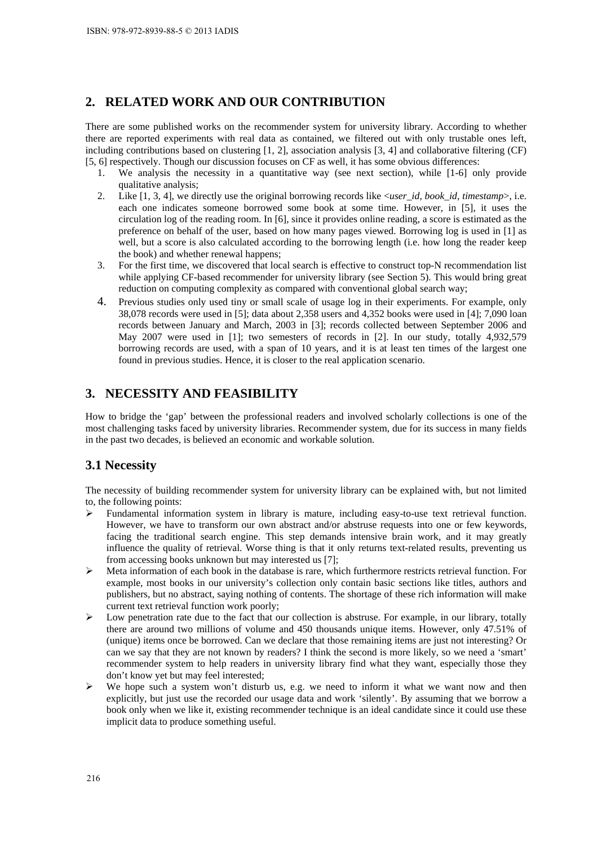## **2. RELATED WORK AND OUR CONTRIBUTION**

There are some published works on the recommender system for university library. According to whether there are reported experiments with real data as contained, we filtered out with only trustable ones left, including contributions based on clustering [1, 2], association analysis [3, 4] and collaborative filtering (CF) [5, 6] respectively. Though our discussion focuses on CF as well, it has some obvious differences:

- 1. We analysis the necessity in a quantitative way (see next section), while [1-6] only provide qualitative analysis;
- 2. Like [1, 3, 4], we directly use the original borrowing records like <*user\_id, book\_id, timestamp*>, i.e. each one indicates someone borrowed some book at some time. However, in [5], it uses the circulation log of the reading room. In [6], since it provides online reading, a score is estimated as the preference on behalf of the user, based on how many pages viewed. Borrowing log is used in [1] as well, but a score is also calculated according to the borrowing length (i.e. how long the reader keep the book) and whether renewal happens;
- 3. For the first time, we discovered that local search is effective to construct top-N recommendation list while applying CF-based recommender for university library (see Section 5). This would bring great reduction on computing complexity as compared with conventional global search way;
- 4. Previous studies only used tiny or small scale of usage log in their experiments. For example, only 38,078 records were used in [5]; data about 2,358 users and 4,352 books were used in [4]; 7,090 loan records between January and March, 2003 in [3]; records collected between September 2006 and May 2007 were used in [1]; two semesters of records in [2]. In our study, totally 4,932,579 borrowing records are used, with a span of 10 years, and it is at least ten times of the largest one found in previous studies. Hence, it is closer to the real application scenario.

## **3. NECESSITY AND FEASIBILITY**

How to bridge the 'gap' between the professional readers and involved scholarly collections is one of the most challenging tasks faced by university libraries. Recommender system, due for its success in many fields in the past two decades, is believed an economic and workable solution.

### **3.1 Necessity**

The necessity of building recommender system for university library can be explained with, but not limited to, the following points:

- $\triangleright$  Fundamental information system in library is mature, including easy-to-use text retrieval function. However, we have to transform our own abstract and/or abstruse requests into one or few keywords, facing the traditional search engine. This step demands intensive brain work, and it may greatly influence the quality of retrieval. Worse thing is that it only returns text-related results, preventing us from accessing books unknown but may interested us [7];
- $\triangleright$  Meta information of each book in the database is rare, which furthermore restricts retrieval function. For example, most books in our university's collection only contain basic sections like titles, authors and publishers, but no abstract, saying nothing of contents. The shortage of these rich information will make current text retrieval function work poorly;
- $\triangleright$  Low penetration rate due to the fact that our collection is abstruse. For example, in our library, totally there are around two millions of volume and 450 thousands unique items. However, only 47.51% of (unique) items once be borrowed. Can we declare that those remaining items are just not interesting? Or can we say that they are not known by readers? I think the second is more likely, so we need a 'smart' recommender system to help readers in university library find what they want, especially those they don't know yet but may feel interested;
- We hope such a system won't disturb us, e.g. we need to inform it what we want now and then explicitly, but just use the recorded our usage data and work 'silently'. By assuming that we borrow a book only when we like it, existing recommender technique is an ideal candidate since it could use these implicit data to produce something useful.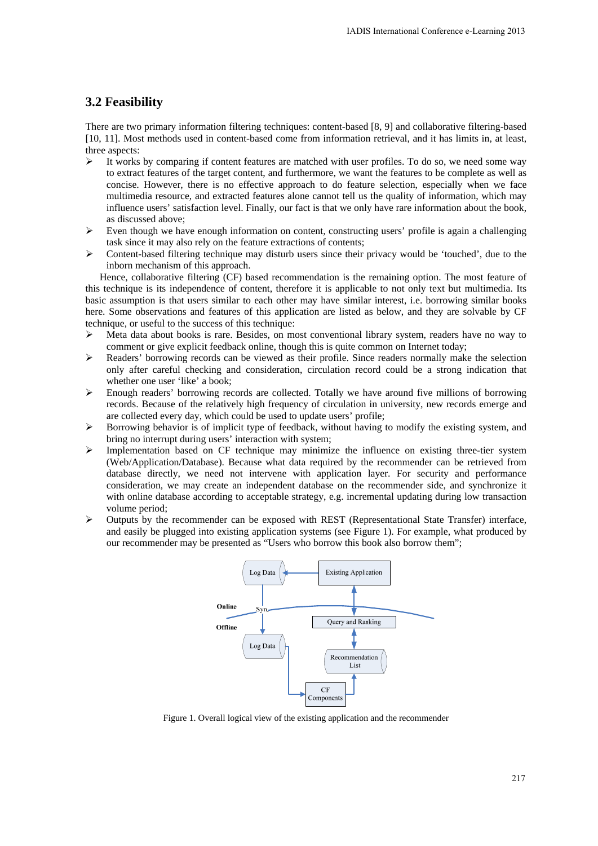### **3.2 Feasibility**

There are two primary information filtering techniques: content-based [8, 9] and collaborative filtering-based [10, 11]. Most methods used in content-based come from information retrieval, and it has limits in, at least, three aspects:

- $\triangleright$  It works by comparing if content features are matched with user profiles. To do so, we need some way to extract features of the target content, and furthermore, we want the features to be complete as well as concise. However, there is no effective approach to do feature selection, especially when we face multimedia resource, and extracted features alone cannot tell us the quality of information, which may influence users' satisfaction level. Finally, our fact is that we only have rare information about the book, as discussed above;
- $\triangleright$  Even though we have enough information on content, constructing users' profile is again a challenging task since it may also rely on the feature extractions of contents;
- $\triangleright$  Content-based filtering technique may disturb users since their privacy would be 'touched', due to the inborn mechanism of this approach.

Hence, collaborative filtering (CF) based recommendation is the remaining option. The most feature of this technique is its independence of content, therefore it is applicable to not only text but multimedia. Its basic assumption is that users similar to each other may have similar interest, i.e. borrowing similar books here. Some observations and features of this application are listed as below, and they are solvable by CF technique, or useful to the success of this technique:

- $\triangleright$  Meta data about books is rare. Besides, on most conventional library system, readers have no way to comment or give explicit feedback online, though this is quite common on Internet today;
- $\triangleright$  Readers' borrowing records can be viewed as their profile. Since readers normally make the selection only after careful checking and consideration, circulation record could be a strong indication that whether one user 'like' a book;
- Enough readers' borrowing records are collected. Totally we have around five millions of borrowing records. Because of the relatively high frequency of circulation in university, new records emerge and are collected every day, which could be used to update users' profile;
- Borrowing behavior is of implicit type of feedback, without having to modify the existing system, and bring no interrupt during users' interaction with system;
- $\triangleright$  Implementation based on CF technique may minimize the influence on existing three-tier system (Web/Application/Database). Because what data required by the recommender can be retrieved from database directly, we need not intervene with application layer. For security and performance consideration, we may create an independent database on the recommender side, and synchronize it with online database according to acceptable strategy, e.g. incremental updating during low transaction volume period;
- Outputs by the recommender can be exposed with REST (Representational State Transfer) interface, and easily be plugged into existing application systems (see Figure 1). For example, what produced by our recommender may be presented as "Users who borrow this book also borrow them";



Figure 1. Overall logical view of the existing application and the recommender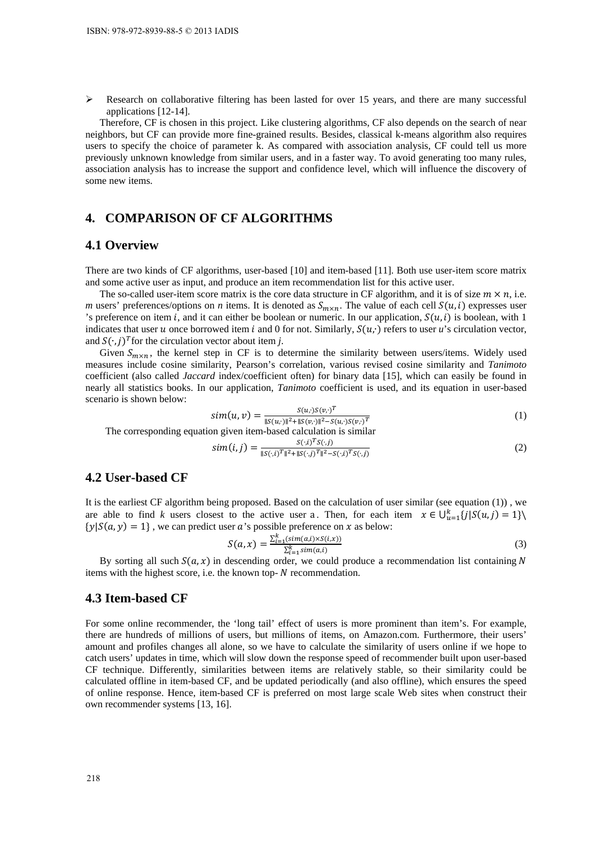$\triangleright$  Research on collaborative filtering has been lasted for over 15 years, and there are many successful applications [12-14].

Therefore, CF is chosen in this project. Like clustering algorithms, CF also depends on the search of near neighbors, but CF can provide more fine-grained results. Besides, classical k-means algorithm also requires users to specify the choice of parameter k. As compared with association analysis, CF could tell us more previously unknown knowledge from similar users, and in a faster way. To avoid generating too many rules, association analysis has to increase the support and confidence level, which will influence the discovery of some new items.

## **4. COMPARISON OF CF ALGORITHMS**

#### **4.1 Overview**

There are two kinds of CF algorithms, user-based [10] and item-based [11]. Both use user-item score matrix and some active user as input, and produce an item recommendation list for this active user.

The so-called user-item score matrix is the core data structure in CF algorithm, and it is of size  $m \times n$ , i.e. *m* users' preferences/options on *n* items. It is denoted as  $S_{m \times n}$ . The value of each cell  $S(u, i)$  expresses user 's preference on item *i*, and it can either be boolean or numeric. In our application,  $S(u, i)$  is boolean, with 1 indicates that user u once borrowed item i and 0 for not. Similarly,  $S(u, \cdot)$  refers to user u's circulation vector, and  $S(·, i)<sup>T</sup>$  for the circulation vector about item *j*.

Given  $S_{m \times n}$ , the kernel step in CF is to determine the similarity between users/items. Widely used measures include cosine similarity, Pearson's correlation, various revised cosine similarity and *Tanimoto* coefficient (also called *Jaccard* index/coefficient often) for binary data [15], which can easily be found in nearly all statistics books. In our application, *Tanimoto* coefficient is used, and its equation in user-based scenario is shown below:

$$
sim(u, v) = \frac{s(u, y) s(v, y)^T}{\|s(u, y)\|^2 + \|s(v, y)\|^2 - s(u, y) s(v, y)^T}
$$
\n(1)

The corresponding equation given item-based calculation is similar

$$
sim(i,j) = \frac{s(j) \cdot s(j)}{\|s(j)\|^2 \cdot \|s(j)\|^T \|^2} \tag{2}
$$

#### **4.2 User-based CF**

It is the earliest CF algorithm being proposed. Based on the calculation of user similar (see equation (1)) , we are able to find *k* users closest to the active user a. Then, for each item  $x \in \bigcup_{u=1}^k \{j \mid S(u,j)=1\} \setminus \{j \mid \{d(u,j)\}\}$  $\{y | S(a, y) = 1\}$ , we can predict user *a*'s possible preference on *x* as below:

$$
S(a, x) = \frac{\sum_{i=1}^{k} (sim(a, i) \times S(i, x))}{\sum_{i=1}^{k} sim(a, i)}
$$
(3)

By sorting all such  $S(a, x)$  in descending order, we could produce a recommendation list containing N items with the highest score, i.e. the known top- $N$  recommendation.

#### **4.3 Item-based CF**

For some online recommender, the 'long tail' effect of users is more prominent than item's. For example, there are hundreds of millions of users, but millions of items, on Amazon.com. Furthermore, their users' amount and profiles changes all alone, so we have to calculate the similarity of users online if we hope to catch users' updates in time, which will slow down the response speed of recommender built upon user-based CF technique. Differently, similarities between items are relatively stable, so their similarity could be calculated offline in item-based CF, and be updated periodically (and also offline), which ensures the speed of online response. Hence, item-based CF is preferred on most large scale Web sites when construct their own recommender systems [13, 16].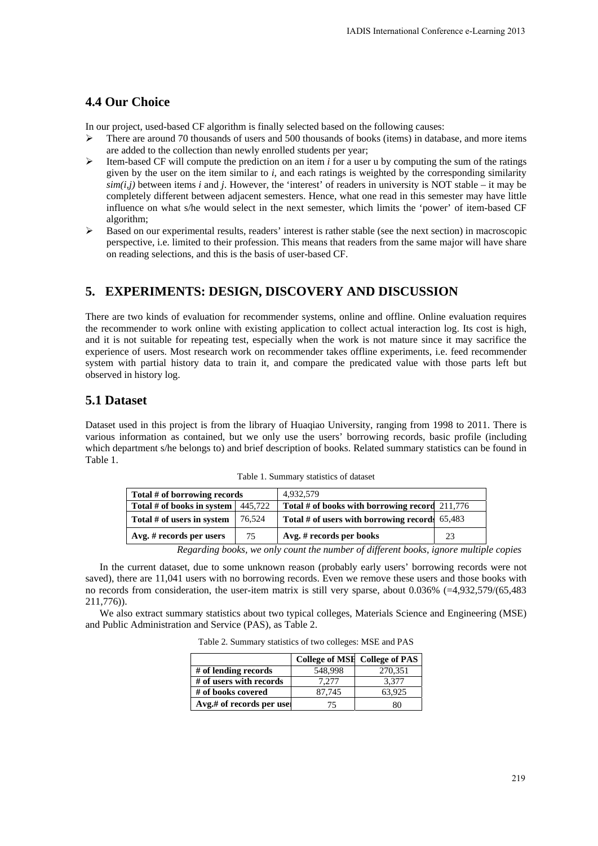### **4.4 Our Choice**

In our project, used-based CF algorithm is finally selected based on the following causes:

- $\geq$  There are around 70 thousands of users and 500 thousands of books (items) in database, and more items are added to the collection than newly enrolled students per year;
- Item-based CF will compute the prediction on an item *i* for a user u by computing the sum of the ratings given by the user on the item similar to *i*, and each ratings is weighted by the corresponding similarity *sim(i,j)* between items *i* and *j*. However, the 'interest' of readers in university is NOT stable – it may be completely different between adjacent semesters. Hence, what one read in this semester may have little influence on what s/he would select in the next semester, which limits the 'power' of item-based CF algorithm;
- $\triangleright$  Based on our experimental results, readers' interest is rather stable (see the next section) in macroscopic perspective, i.e. limited to their profession. This means that readers from the same major will have share on reading selections, and this is the basis of user-based CF.

### **5. EXPERIMENTS: DESIGN, DISCOVERY AND DISCUSSION**

There are two kinds of evaluation for recommender systems, online and offline. Online evaluation requires the recommender to work online with existing application to collect actual interaction log. Its cost is high, and it is not suitable for repeating test, especially when the work is not mature since it may sacrifice the experience of users. Most research work on recommender takes offline experiments, i.e. feed recommender system with partial history data to train it, and compare the predicated value with those parts left but observed in history log.

### **5.1 Dataset**

Dataset used in this project is from the library of Huaqiao University, ranging from 1998 to 2011. There is various information as contained, but we only use the users' borrowing records, basic profile (including which department s/he belongs to) and brief description of books. Related summary statistics can be found in Table 1.

| Total # of borrowing records               |        | 4.932.579                                        |    |
|--------------------------------------------|--------|--------------------------------------------------|----|
| Total # of books in system $\vert$ 445,722 |        | Total # of books with borrowing record $211,776$ |    |
| Total # of users in system                 | 76.524 | Total # of users with borrowing records $65,483$ |    |
| $Avg.$ # records per users                 | 75     | Avg. # records per books                         | 23 |

Table 1. Summary statistics of dataset

*Regarding books, we only count the number of different books, ignore multiple copies* 

In the current dataset, due to some unknown reason (probably early users' borrowing records were not saved), there are 11,041 users with no borrowing records. Even we remove these users and those books with no records from consideration, the user-item matrix is still very sparse, about 0.036% (=4,932,579/(65,483 211,776)).

We also extract summary statistics about two typical colleges, Materials Science and Engineering (MSE) and Public Administration and Service (PAS), as Table 2.

Table 2. Summary statistics of two colleges: MSE and PAS

|                          |         | <b>College of MSH College of PAS</b> |
|--------------------------|---------|--------------------------------------|
| # of lending records     | 548.998 | 270,351                              |
| # of users with records  | 7.277   | 3.377                                |
| # of books covered       | 87.745  | 63.925                               |
| Avg.# of records per use | 75.     | 80                                   |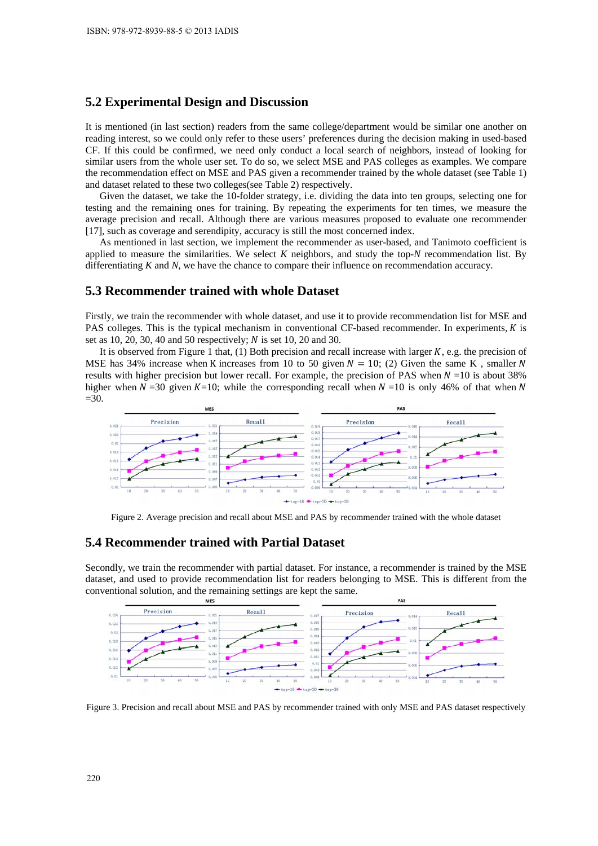### **5.2 Experimental Design and Discussion**

It is mentioned (in last section) readers from the same college/department would be similar one another on reading interest, so we could only refer to these users' preferences during the decision making in used-based CF. If this could be confirmed, we need only conduct a local search of neighbors, instead of looking for similar users from the whole user set. To do so, we select MSE and PAS colleges as examples. We compare the recommendation effect on MSE and PAS given a recommender trained by the whole dataset (see Table 1) and dataset related to these two colleges(see Table 2) respectively.

Given the dataset, we take the 10-folder strategy, i.e. dividing the data into ten groups, selecting one for testing and the remaining ones for training. By repeating the experiments for ten times, we measure the average precision and recall. Although there are various measures proposed to evaluate one recommender [17], such as coverage and serendipity, accuracy is still the most concerned index.

As mentioned in last section, we implement the recommender as user-based, and Tanimoto coefficient is applied to measure the similarities. We select *K* neighbors, and study the top-*N* recommendation list. By differentiating *K* and *N*, we have the chance to compare their influence on recommendation accuracy.

#### **5.3 Recommender trained with whole Dataset**

Firstly, we train the recommender with whole dataset, and use it to provide recommendation list for MSE and PAS colleges. This is the typical mechanism in conventional CF-based recommender. In experiments,  $K$  is set as 10, 20, 30, 40 and 50 respectively;  $N$  is set 10, 20 and 30.

It is observed from Figure 1 that, (1) Both precision and recall increase with larger  $K$ , e.g. the precision of MSE has 34% increase when K increases from 10 to 50 given  $N = 10$ ; (2) Given the same K, smaller N results with higher precision but lower recall. For example, the precision of PAS when  $N = 10$  is about 38% higher when  $N = 30$  given  $K=10$ ; while the corresponding recall when  $N = 10$  is only 46% of that when N  $=30.$ 



Figure 2. Average precision and recall about MSE and PAS by recommender trained with the whole dataset

#### **5.4 Recommender trained with Partial Dataset**

Secondly, we train the recommender with partial dataset. For instance, a recommender is trained by the MSE dataset, and used to provide recommendation list for readers belonging to MSE. This is different from the conventional solution, and the remaining settings are kept the same.



Figure 3. Precision and recall about MSE and PAS by recommender trained with only MSE and PAS dataset respectively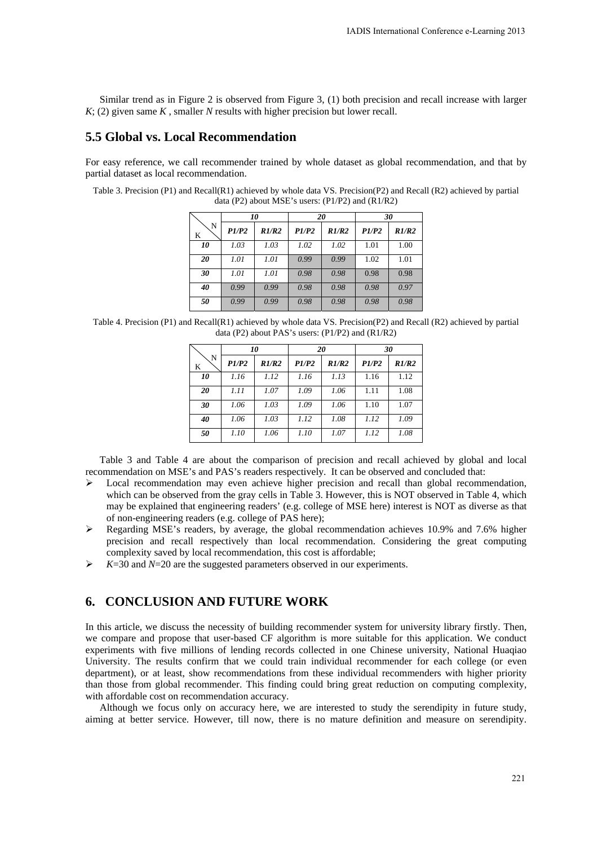Similar trend as in Figure 2 is observed from Figure 3, (1) both precision and recall increase with larger *K*; (2) given same *K* , smaller *N* results with higher precision but lower recall.

### **5.5 Global vs. Local Recommendation**

For easy reference, we call recommender trained by whole dataset as global recommendation, and that by partial dataset as local recommendation.

Table 3. Precision (P1) and Recall(R1) achieved by whole data VS. Precision(P2) and Recall (R2) achieved by partial data (P2) about MSE's users: (P1/P2) and (R1/R2)

| N<br>K | 10    |       | 20    |              | 30    |       |
|--------|-------|-------|-------|--------------|-------|-------|
|        | P1/P2 | R1/R2 | P1/P2 | <i>R1/R2</i> | PI/P2 | R1/R2 |
| 10     | 1.03  | 1.03  | 1.02  | 1.02         | 1.01  | 1.00  |
| 20     | 1.01  | 1.01  | 0.99  | 0.99         | 1.02  | 1.01  |
| 30     | 1.01  | 1.01  | 0.98  | 0.98         | 0.98  | 0.98  |
| 40     | 0.99  | 0.99  | 0.98  | 0.98         | 0.98  | 0.97  |
| 50     | 0.99  | 0.99  | 0.98  | 0.98         | 0.98  | 0.98  |

Table 4. Precision (P1) and Recall(R1) achieved by whole data VS. Precision(P2) and Recall (R2) achieved by partial data (P2) about PAS's users: (P1/P2) and (R1/R2)

| N<br>K | 10    |       | 20    |       | 30    |       |
|--------|-------|-------|-------|-------|-------|-------|
|        | P1/P2 | R1/R2 | P1/P2 | R1/R2 | P1/P2 | R1/R2 |
| 10     | 1.16  | 1.12  | 1.16  | 1.13  | 1.16  | 1.12  |
| 20     | 1.11  | 1.07  | 1.09  | 1.06  | 1.11  | 1.08  |
| 30     | 1.06  | 1.03  | 1.09  | 1.06  | 1.10  | 1.07  |
| 40     | 1.06  | 1.03  | 1.12  | 1.08  | 1.12  | 1.09  |
| 50     | 1.10  | 1.06  | 1.10  | 1.07  | 1.12  | 1.08  |

Table 3 and Table 4 are about the comparison of precision and recall achieved by global and local recommendation on MSE's and PAS's readers respectively. It can be observed and concluded that:

- $\triangleright$  Local recommendation may even achieve higher precision and recall than global recommendation, which can be observed from the gray cells in Table 3. However, this is NOT observed in Table 4, which may be explained that engineering readers' (e.g. college of MSE here) interest is NOT as diverse as that of non-engineering readers (e.g. college of PAS here);
- $\triangleright$  Regarding MSE's readers, by average, the global recommendation achieves 10.9% and 7.6% higher precision and recall respectively than local recommendation. Considering the great computing complexity saved by local recommendation, this cost is affordable;
- $\triangleright$  *K*=30 and *N*=20 are the suggested parameters observed in our experiments.

## **6. CONCLUSION AND FUTURE WORK**

In this article, we discuss the necessity of building recommender system for university library firstly. Then, we compare and propose that user-based CF algorithm is more suitable for this application. We conduct experiments with five millions of lending records collected in one Chinese university, National Huaqiao University. The results confirm that we could train individual recommender for each college (or even department), or at least, show recommendations from these individual recommenders with higher priority than those from global recommender. This finding could bring great reduction on computing complexity, with affordable cost on recommendation accuracy.

Although we focus only on accuracy here, we are interested to study the serendipity in future study, aiming at better service. However, till now, there is no mature definition and measure on serendipity.